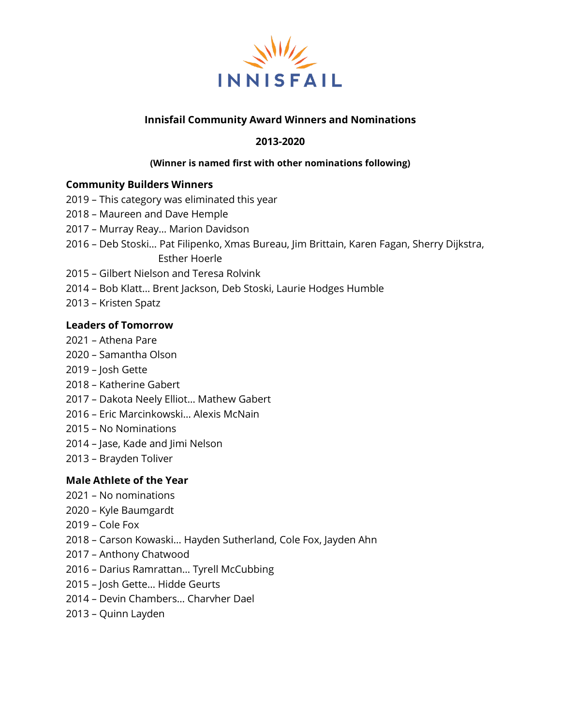

## **Innisfail Community Award Winners and Nominations**

## **2013-2020**

#### **(Winner is named first with other nominations following)**

#### **Community Builders Winners**

- This category was eliminated this year
- Maureen and Dave Hemple
- Murray Reay… Marion Davidson
- Deb Stoski… Pat Filipenko, Xmas Bureau, Jim Brittain, Karen Fagan, Sherry Dijkstra, Esther Hoerle
- Gilbert Nielson and Teresa Rolvink
- Bob Klatt… Brent Jackson, Deb Stoski, Laurie Hodges Humble
- Kristen Spatz

#### **Leaders of Tomorrow**

- Athena Pare
- Samantha Olson
- Josh Gette
- Katherine Gabert
- Dakota Neely Elliot… Mathew Gabert
- Eric Marcinkowski… Alexis McNain
- No Nominations
- Jase, Kade and Jimi Nelson
- Brayden Toliver

### **Male Athlete of the Year**

- No nominations
- Kyle Baumgardt
- Cole Fox
- Carson Kowaski… Hayden Sutherland, Cole Fox, Jayden Ahn
- Anthony Chatwood
- Darius Ramrattan… Tyrell McCubbing
- Josh Gette… Hidde Geurts
- Devin Chambers… Charvher Dael
- Quinn Layden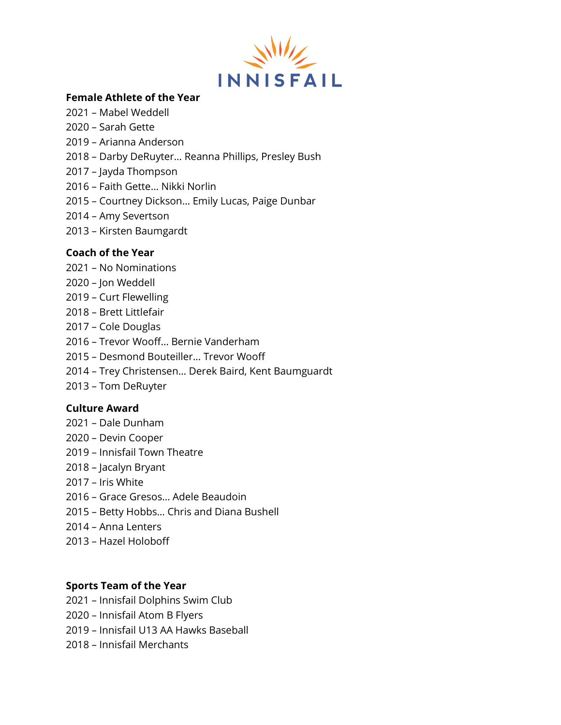

## **Female Athlete of the Year**

- Mabel Weddell
- Sarah Gette
- Arianna Anderson
- Darby DeRuyter… Reanna Phillips, Presley Bush
- Jayda Thompson
- Faith Gette… Nikki Norlin
- Courtney Dickson… Emily Lucas, Paige Dunbar
- Amy Severtson
- Kirsten Baumgardt

## **Coach of the Year**

- No Nominations
- Jon Weddell
- Curt Flewelling
- Brett Littlefair
- Cole Douglas
- Trevor Wooff… Bernie Vanderham
- Desmond Bouteiller… Trevor Wooff
- Trey Christensen… Derek Baird, Kent Baumguardt
- Tom DeRuyter

### **Culture Award**

- Dale Dunham
- Devin Cooper
- Innisfail Town Theatre
- Jacalyn Bryant
- Iris White
- Grace Gresos… Adele Beaudoin
- Betty Hobbs… Chris and Diana Bushell
- Anna Lenters
- Hazel Holoboff

# **Sports Team of the Year**

- Innisfail Dolphins Swim Club
- Innisfail Atom B Flyers
- Innisfail U13 AA Hawks Baseball
- Innisfail Merchants